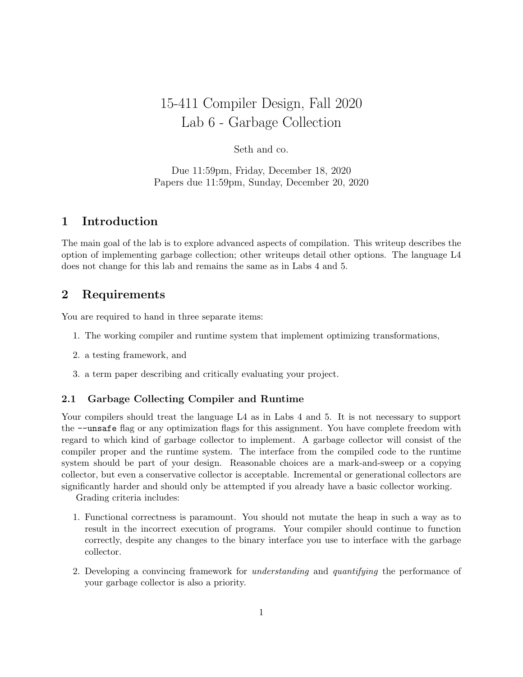# 15-411 Compiler Design, Fall 2020 Lab 6 - Garbage Collection

## Seth and co.

Due 11:59pm, Friday, December 18, 2020 Papers due 11:59pm, Sunday, December 20, 2020

## 1 Introduction

The main goal of the lab is to explore advanced aspects of compilation. This writeup describes the option of implementing garbage collection; other writeups detail other options. The language L4 does not change for this lab and remains the same as in Labs 4 and 5.

## 2 Requirements

You are required to hand in three separate items:

- 1. The working compiler and runtime system that implement optimizing transformations,
- 2. a testing framework, and
- 3. a term paper describing and critically evaluating your project.

#### 2.1 Garbage Collecting Compiler and Runtime

Your compilers should treat the language L4 as in Labs 4 and 5. It is not necessary to support the --unsafe flag or any optimization flags for this assignment. You have complete freedom with regard to which kind of garbage collector to implement. A garbage collector will consist of the compiler proper and the runtime system. The interface from the compiled code to the runtime system should be part of your design. Reasonable choices are a mark-and-sweep or a copying collector, but even a conservative collector is acceptable. Incremental or generational collectors are significantly harder and should only be attempted if you already have a basic collector working.

Grading criteria includes:

- 1. Functional correctness is paramount. You should not mutate the heap in such a way as to result in the incorrect execution of programs. Your compiler should continue to function correctly, despite any changes to the binary interface you use to interface with the garbage collector.
- 2. Developing a convincing framework for understanding and quantifying the performance of your garbage collector is also a priority.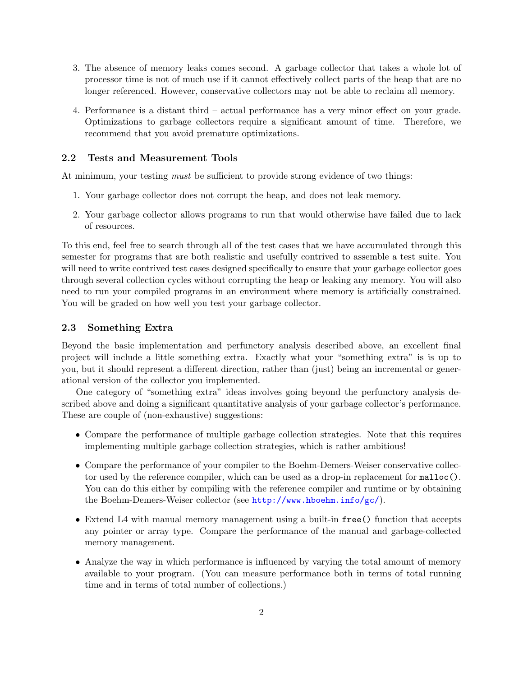- 3. The absence of memory leaks comes second. A garbage collector that takes a whole lot of processor time is not of much use if it cannot effectively collect parts of the heap that are no longer referenced. However, conservative collectors may not be able to reclaim all memory.
- 4. Performance is a distant third actual performance has a very minor effect on your grade. Optimizations to garbage collectors require a significant amount of time. Therefore, we recommend that you avoid premature optimizations.

#### 2.2 Tests and Measurement Tools

At minimum, your testing *must* be sufficient to provide strong evidence of two things:

- 1. Your garbage collector does not corrupt the heap, and does not leak memory.
- 2. Your garbage collector allows programs to run that would otherwise have failed due to lack of resources.

To this end, feel free to search through all of the test cases that we have accumulated through this semester for programs that are both realistic and usefully contrived to assemble a test suite. You will need to write contrived test cases designed specifically to ensure that your garbage collector goes through several collection cycles without corrupting the heap or leaking any memory. You will also need to run your compiled programs in an environment where memory is artificially constrained. You will be graded on how well you test your garbage collector.

#### 2.3 Something Extra

Beyond the basic implementation and perfunctory analysis described above, an excellent final project will include a little something extra. Exactly what your "something extra" is is up to you, but it should represent a different direction, rather than (just) being an incremental or generational version of the collector you implemented.

One category of "something extra" ideas involves going beyond the perfunctory analysis described above and doing a significant quantitative analysis of your garbage collector's performance. These are couple of (non-exhaustive) suggestions:

- Compare the performance of multiple garbage collection strategies. Note that this requires implementing multiple garbage collection strategies, which is rather ambitious!
- Compare the performance of your compiler to the Boehm-Demers-Weiser conservative collector used by the reference compiler, which can be used as a drop-in replacement for malloc(). You can do this either by compiling with the reference compiler and runtime or by obtaining the Boehm-Demers-Weiser collector (see <http://www.hboehm.info/gc/>).
- Extend L4 with manual memory management using a built-in free() function that accepts any pointer or array type. Compare the performance of the manual and garbage-collected memory management.
- Analyze the way in which performance is influenced by varying the total amount of memory available to your program. (You can measure performance both in terms of total running time and in terms of total number of collections.)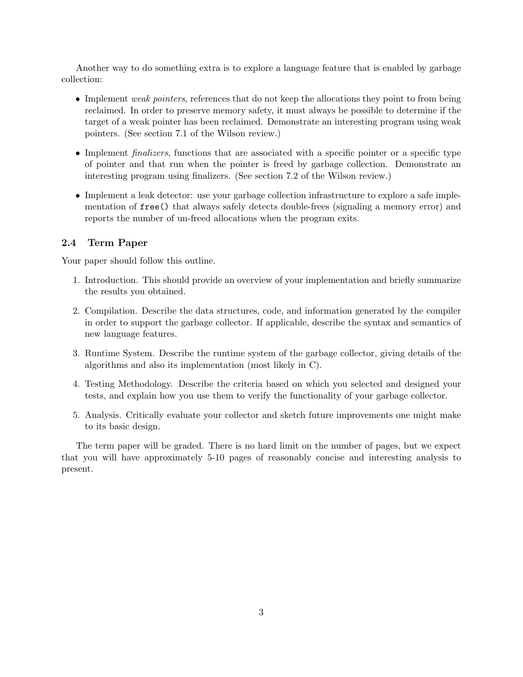Another way to do something extra is to explore a language feature that is enabled by garbage collection:

- Implement weak pointers, references that do not keep the allocations they point to from being reclaimed. In order to preserve memory safety, it must always be possible to determine if the target of a weak pointer has been reclaimed. Demonstrate an interesting program using weak pointers. (See section 7.1 of the Wilson review.)
- Implement *finalizers*, functions that are associated with a specific pointer or a specific type of pointer and that run when the pointer is freed by garbage collection. Demonstrate an interesting program using finalizers. (See section 7.2 of the Wilson review.)
- Implement a leak detector: use your garbage collection infrastructure to explore a safe implementation of free() that always safely detects double-frees (signaling a memory error) and reports the number of un-freed allocations when the program exits.

#### 2.4 Term Paper

Your paper should follow this outline.

- 1. Introduction. This should provide an overview of your implementation and briefly summarize the results you obtained.
- 2. Compilation. Describe the data structures, code, and information generated by the compiler in order to support the garbage collector. If applicable, describe the syntax and semantics of new language features.
- 3. Runtime System. Describe the runtime system of the garbage collector, giving details of the algorithms and also its implementation (most likely in C).
- 4. Testing Methodology. Describe the criteria based on which you selected and designed your tests, and explain how you use them to verify the functionality of your garbage collector.
- 5. Analysis. Critically evaluate your collector and sketch future improvements one might make to its basic design.

The term paper will be graded. There is no hard limit on the number of pages, but we expect that you will have approximately 5-10 pages of reasonably concise and interesting analysis to present.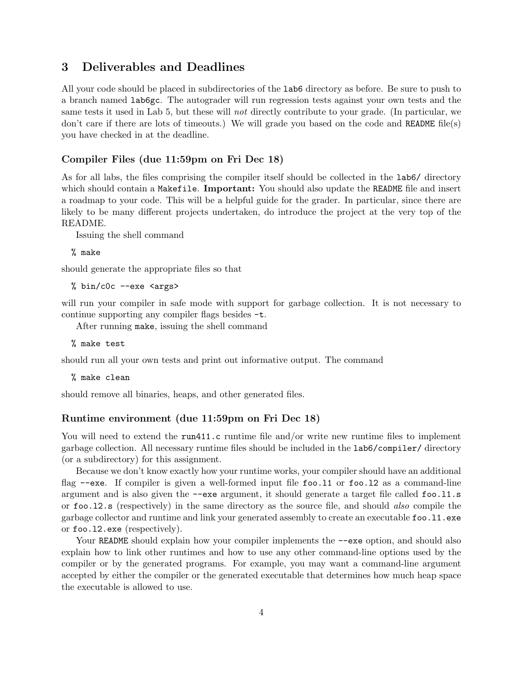## 3 Deliverables and Deadlines

All your code should be placed in subdirectories of the lab6 directory as before. Be sure to push to a branch named lab6gc. The autograder will run regression tests against your own tests and the same tests it used in Lab 5, but these will *not* directly contribute to your grade. (In particular, we don't care if there are lots of timeouts.) We will grade you based on the code and README file(s) you have checked in at the deadline.

#### Compiler Files (due 11:59pm on Fri Dec 18)

As for all labs, the files comprising the compiler itself should be collected in the lab6/ directory which should contain a Makefile. **Important:** You should also update the README file and insert a roadmap to your code. This will be a helpful guide for the grader. In particular, since there are likely to be many different projects undertaken, do introduce the project at the very top of the README.

Issuing the shell command

% make

should generate the appropriate files so that

% bin/c0c --exe <args>

will run your compiler in safe mode with support for garbage collection. It is not necessary to continue supporting any compiler flags besides -t.

After running make, issuing the shell command

% make test

should run all your own tests and print out informative output. The command

% make clean

should remove all binaries, heaps, and other generated files.

#### Runtime environment (due 11:59pm on Fri Dec 18)

You will need to extend the run411.c runtime file and/or write new runtime files to implement garbage collection. All necessary runtime files should be included in the lab6/compiler/ directory (or a subdirectory) for this assignment.

Because we don't know exactly how your runtime works, your compiler should have an additional flag  $-\text{exe}$ . If compiler is given a well-formed input file foo.11 or foo.12 as a command-line argument and is also given the --exe argument, it should generate a target file called foo.l1.s or foo.l2.s (respectively) in the same directory as the source file, and should also compile the garbage collector and runtime and link your generated assembly to create an executable foo.11.exe or foo.l2.exe (respectively).

Your README should explain how your compiler implements the  $-\text{exe}$  option, and should also explain how to link other runtimes and how to use any other command-line options used by the compiler or by the generated programs. For example, you may want a command-line argument accepted by either the compiler or the generated executable that determines how much heap space the executable is allowed to use.